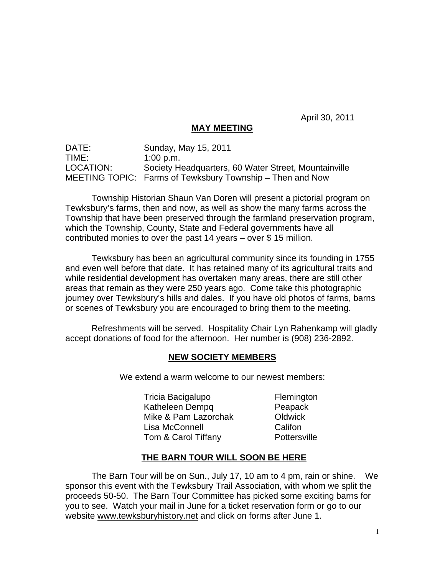April 30, 2011

## **MAY MEETING**

DATE: Sunday, May 15, 2011 TIME: 1:00 p.m. LOCATION: Society Headquarters, 60 Water Street, Mountainville MEETING TOPIC: Farms of Tewksbury Township – Then and Now

Township Historian Shaun Van Doren will present a pictorial program on Tewksbury's farms, then and now, as well as show the many farms across the Township that have been preserved through the farmland preservation program, which the Township, County, State and Federal governments have all contributed monies to over the past 14 years – over \$ 15 million.

Tewksbury has been an agricultural community since its founding in 1755 and even well before that date. It has retained many of its agricultural traits and while residential development has overtaken many areas, there are still other areas that remain as they were 250 years ago. Come take this photographic journey over Tewksbury's hills and dales. If you have old photos of farms, barns or scenes of Tewksbury you are encouraged to bring them to the meeting.

Refreshments will be served. Hospitality Chair Lyn Rahenkamp will gladly accept donations of food for the afternoon. Her number is (908) 236-2892.

## **NEW SOCIETY MEMBERS**

We extend a warm welcome to our newest members:

Tricia Bacigalupo Flemington Katheleen Dempq Peapack Mike & Pam Lazorchak **Oldwick** Lisa McConnell **Califon** Tom & Carol Tiffany **Pottersville** 

## **THE BARN TOUR WILL SOON BE HERE**

The Barn Tour will be on Sun., July 17, 10 am to 4 pm, rain or shine. We sponsor this event with the Tewksbury Trail Association, with whom we split the proceeds 50-50. The Barn Tour Committee has picked some exciting barns for you to see. Watch your mail in June for a ticket reservation form or go to our website www.tewksburyhistory.net and click on forms after June 1.